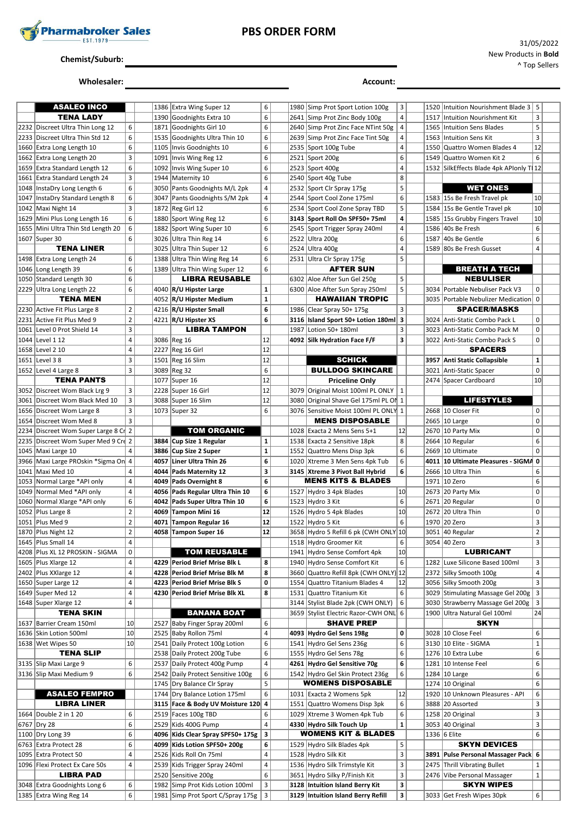

## **PBS ORDER FORM**

#### **Chemist/Suburb:**

# **Wholesaler: Account: Account: Account: Account: Account: Account: Account: Account: Account: Account: Account: Account: Account: Account: Account: Account: Account: Account: Account:**

| <b>ASALEO INCO</b>                     |                |      | 1386 Extra Wing Super 12          | 6                       |      | 1980 Simp Prot Sport Lotion 100g      | 3                       | 1520 | Intuition Nourishment Blade 3   5         |                |  |
|----------------------------------------|----------------|------|-----------------------------------|-------------------------|------|---------------------------------------|-------------------------|------|-------------------------------------------|----------------|--|
| <b>TENA LADY</b>                       |                |      | 1390 Goodnights Extra 10          | 6                       |      | 2641 Simp Prot Zinc Body 100g         | 4                       |      | 1517 Intuition Nourishment Kit            | 3              |  |
|                                        |                |      |                                   |                         |      |                                       |                         |      |                                           |                |  |
| 2232 Discreet Ultra Thin Long 12       | 6              | 1871 | Goodnights Girl 10                | 6                       |      | 2640 Simp Prot Zinc Face NTint 50g    | 4                       | 1565 | Intuition Sens Blades                     | 5              |  |
| 2233 Discreet Ultra Thin Std 12        | 6              | 1535 | Goodnights Ultra Thin 10          | 6                       |      | 2639 Simp Prot Zinc Face Tint 50g     | 4                       | 1563 | Intuition Sens Kit                        | 3              |  |
| 1660 Extra Long Length 10              | 6              | 1105 | Invis Goodnights 10               | 6                       |      | 2535 Sport 100g Tube                  | 4                       | 1550 | Quattro Women Blades 4                    | 12             |  |
| 1662 Extra Long Length 20              | 3              |      | 1091   Invis Wing Reg 12          | 6                       |      | 2521 Sport 200g                       | 6                       | 1549 | Quattro Women Kit 2                       | 6              |  |
|                                        |                |      |                                   |                         |      |                                       |                         |      |                                           |                |  |
| 1659 Extra Standard Length 12          | 6              | 1092 | Invis Wing Super 10               | 6                       |      | 2523 Sport 400g                       | $\overline{4}$          |      | 1532   SilkEffects Blade 4pk APIonly T 12 |                |  |
| 1661 Extra Standard Length 24          | 3              | 1944 | Maternity 10                      | 6                       |      | 2540 Sport 40g Tube                   | 8                       |      |                                           |                |  |
| 1048   InstaDry Long Length 6          | 6              |      | 3050 Pants Goodnights M/L 2pk     | 4                       |      | 2532 Sport Clr Spray 175g             | 5                       |      | <b>WET ONES</b>                           |                |  |
| 1047   InstaDry Standard Length 8      | 6              |      | 3047 Pants Goodnights S/M 2pk     | 4                       |      | 2544 Sport Cool Zone 175ml            | 6                       |      | 1583 15s Be Fresh Travel pk               | 10             |  |
| 1042   Maxi Night 14                   | 3              |      | 1872 Reg Girl 12                  | 6                       |      | 2534 Sport Cool Zone Spray TBD        | 5                       |      | 1584 15s Be Gentle Travel pk              | 10             |  |
|                                        |                |      |                                   |                         |      |                                       |                         |      |                                           |                |  |
| 1629 Mini Plus Long Length 16          | 6              |      | 1880 Sport Wing Reg 12            | 6                       |      | 3143 Sport Roll On SPF50+ 75ml        | 4                       |      | 1585 15s Grubby Fingers Travel            | 10             |  |
| 1655 Mini Ultra Thin Std Length 20     | 6              | 1882 | Sport Wing Super 10               | 6                       |      | 2545 Sport Trigger Spray 240ml        | $\overline{4}$          |      | 1586 40s Be Fresh                         | 6              |  |
| 1607 Super 30                          | 6              |      | 3026 Ultra Thin Reg 14            | 6                       |      | 2522 Ultra 200g                       | 6                       |      | 1587 40s Be Gentle                        | 6              |  |
| <b>TENA LINER</b>                      |                |      | 3025 Ultra Thin Super 12          | 6                       |      | 2524 Ultra 400g                       | $\overline{4}$          |      | 1589 80s Be Fresh Gusset                  | 4              |  |
| 1498 Extra Long Length 24              | 6              |      | 1388 Ultra Thin Wing Reg 14       | 6                       |      | 2531 Ultra Clr Spray 175g             | 5                       |      |                                           |                |  |
|                                        |                |      |                                   |                         |      |                                       |                         |      |                                           |                |  |
| 1046 Long Length 39                    | 6              |      | 1389 Ultra Thin Wing Super 12     | 6                       |      | <b>AFTER SUN</b>                      |                         |      | <b>BREATH A TECH</b>                      |                |  |
| 1050 Standard Length 30                | 6              |      | <b>LIBRA REUSABLE</b>             |                         |      | 6302 Aloe After Sun Gel 250g          | 5                       |      | <b>NEBULISER</b>                          |                |  |
| 2229 Ultra Long Length 22              | 6              |      | 4040 R/U Hipster Large            | $\mathbf 1$             |      | 6300 Aloe After Sun Spray 250ml       | 5                       | 3034 | Portable Nebuliser Pack V3                | 0              |  |
| <b>TENA MEN</b>                        |                |      | 4052 R/U Hipster Medium           | $\mathbf 1$             |      | <b>HAWAIIAN TROPIC</b>                |                         |      | 3035   Portable Nebulizer Medication      | $\mathbf{0}$   |  |
| 2230 Active Fit Plus Large 8           | $\overline{2}$ |      | 4216 R/U Hipster Small            | 6                       |      | 1986 Clear Spray 50+ 175g             | 3                       |      | <b>SPACER/MASKS</b>                       |                |  |
|                                        |                |      |                                   |                         |      |                                       |                         |      |                                           |                |  |
| 2231 Active Fit Plus Med 9             | $\overline{2}$ |      | 4221   R/U Hipster XS             | 6                       |      | 3116   Island Sport 50+ Lotion 180ml  | 3                       |      | 3024 Anti-Static Combo Pack L             | $\mathbf 0$    |  |
| 1061   Level 0 Prot Shield 14          | 3              |      | <b>LIBRA TAMPON</b>               |                         | 1987 | Lotion 50+ 180ml                      | 3                       | 3023 | Anti-Static Combo Pack M                  | $\mathbf 0$    |  |
| 1044   Level 1 12                      | $\overline{4}$ |      | 3086 Reg 16                       | 12                      |      | 4092 Silk Hydration Face F/F          | 3                       |      | 3022 Anti-Static Combo Pack S             | $\mathbf 0$    |  |
| 1658 Level 2 10                        | 4              |      | 2227 Reg 16 Girl                  | 12                      |      |                                       |                         |      | <b>SPACERS</b>                            |                |  |
|                                        | 3              |      |                                   | 12                      |      |                                       |                         |      |                                           |                |  |
| 1651 Level 3 8                         |                |      | 1501 Reg 16 Slim                  |                         |      | <b>SCHICK</b>                         |                         |      | 3957 Anti Static Collapsible              | $\mathbf{1}$   |  |
| 1652 Level 4 Large 8                   | 3              |      | 3089 Reg 32                       | 6                       |      | <b>BULLDOG SKINCARE</b>               |                         |      | 3021 Anti-Static Spacer                   | $\mathbf 0$    |  |
| <b>TENA PANTS</b>                      |                |      | 1077 Super 16                     | 12                      |      | <b>Priceline Only</b>                 |                         |      | 2474 Spacer Cardboard                     | 10             |  |
| 3052 Discreet Wom Black Lrg 9          | 3              |      | 2228 Super 16 Girl                | 12                      | 3079 | Original Moist 100ml PL ONLY   1      |                         |      |                                           |                |  |
| 3061 Discreet Wom Black Med 10         | 3              |      | 3088 Super 16 Slim                | 12                      | 3080 | Original Shave Gel 175ml PL Ol  1     |                         |      | <b>LIFESTYLES</b>                         |                |  |
|                                        | 3              |      | 1073 Super 32                     | 6                       |      | 3076 Sensitive Moist 100ml PL ONLY 1  |                         |      | 2668 10 Closer Fit                        | 0              |  |
| 1656 Discreet Wom Large 8              |                |      |                                   |                         |      |                                       |                         |      |                                           |                |  |
| 1654 Discreet Wom Med 8                | 3              |      |                                   |                         |      | <b>MENS DISPOSABLE</b>                |                         |      | 2665 10 Large                             | 0              |  |
| 2234 Discreet Wom Super Large 8 Ci 2   |                |      | <b>TOM ORGANIC</b>                |                         |      | 1028 Exacta 2 Mens Sens 5+1           | 12                      |      | 2670 10 Party Mix                         | 0              |  |
| 2235 Discreet Wom Super Med 9 Crd 2    |                |      | 3884 Cup Size 1 Regular           | $\mathbf 1$             |      | 1538 Exacta 2 Sensitive 18pk          | 8                       |      | 2664   10 Regular                         | 6              |  |
| 1045 Maxi Large 10                     | 4              | 3886 | Cup Size 2 Super                  | $\mathbf 1$             | 1552 | Quattro Mens Disp 3pk                 | 6                       | 2669 | 10 Ultimate                               | $\mathbf 0$    |  |
|                                        |                |      |                                   |                         |      |                                       |                         |      |                                           |                |  |
| 3966   Maxi Large PROskin * Sigma On 4 |                | 4057 | Liner Ultra Thin 26               | 6                       |      | 1020 Xtreme 3 Men Sens 4pk Tub        | 6                       |      | 4011 10 Ultimate Pleasures - SIGMA        | $\mathbf 0$    |  |
| 1041   Maxi Med 10                     | 4              |      | 4044 Pads Maternity 12            | 3                       |      | 3145 Xtreme 3 Pivot Ball Hybrid       | 6                       |      | 2666   10 Ultra Thin                      | 6              |  |
| 1053 Normal Large *API only            | 4              |      | 4049 Pads Overnight 8             | 6                       |      | <b>MENS KITS &amp; BLADES</b>         |                         |      | 1971 10 Zero                              | 6              |  |
| 1049 Normal Med *API only              | $\sqrt{4}$     |      | 4056   Pads Regular Ultra Thin 10 | 6                       |      | 1527 Hydro 3 4pk Blades               | 10                      |      | 2673 20 Party Mix                         | $\pmb{0}$      |  |
| 1060 Normal Xlarge *API only           | 6              |      | 4042 Pads Super Ultra Thin 10     | 6                       |      | 1523 Hydro 3 Kit                      | $\,6\,$                 |      | 2671 20 Regular                           | 0              |  |
|                                        |                |      |                                   | 12                      |      |                                       |                         |      |                                           |                |  |
| 1052 Plus Large 8                      | $\overline{2}$ |      | 4069 Tampon Mini 16               |                         |      | 1526 Hydro 5 4pk Blades               | 10 <sup>1</sup>         |      | 2672 20 Ultra Thin                        | 0              |  |
| 1051   Plus Med 9                      | $\overline{2}$ |      | 4071 Tampon Regular 16            | 12                      |      | 1522 Hydro 5 Kit                      | 6                       |      | 1970 20 Zero                              | 3              |  |
| 1870 Plus Night 12                     | $\overline{2}$ |      | 4058 Tampon Super 16              | 12                      |      | 3658 Hydro 5 Refill 6 pk (CWH ONLY 10 |                         |      | 3051 40 Regular                           | $\overline{2}$ |  |
| 1645   Plus Small 14                   | 4              |      |                                   |                         |      | 1518 Hydro Groomer Kit                | $\,6\,$                 |      | 3054 40 Zero                              | $\mathsf 3$    |  |
| 4208 Plus XL 12 PROSKIN - SIGMA        | 0              |      | <b>TOM REUSABLE</b>               |                         | 1941 | Hydro Sense Comfort 4pk               | 10                      |      | <b>LUBRICANT</b>                          |                |  |
|                                        |                |      |                                   |                         |      |                                       |                         |      |                                           |                |  |
| 1605 Plus Xlarge 12                    | 4              |      | 4229 Period Brief Mrise Blk L     | 8                       |      | 1940 Hydro Sense Comfort Kit          | 6                       | 1282 | Luxe Silicone Based 100ml                 | 3              |  |
| 2402 Plus XXlarge 12                   | 4              |      | 4228 Period Brief Mrise Blk M     | 8                       | 3660 | Quattro Refill 8pk (CWH ONLY) 12      |                         |      | 2372 Silky Smooth 100g                    | $\overline{4}$ |  |
| 1650 Super Large 12                    | 4              |      | 4223 Period Brief Mrise Blk S     | 0                       | 1554 | Quattro Titanium Blades 4             | 12                      |      | 3056 Silky Smooth 200g                    | 3              |  |
| 1649 Super Med 12                      | 4              |      | 4230 Period Brief Mrise Blk XL    | 8                       | 1531 | Quattro Titanium Kit                  | 6                       |      | 3029 Stimulating Massage Gel 200g         | 3              |  |
| 1648 Super Xlarge 12                   | 4              |      |                                   |                         |      | 3144 Stylist Blade 2pk (CWH ONLY)     | 6                       | 3030 | Strawberry Massage Gel 200g               | 3              |  |
| TENA SKIN                              |                |      | <b>BANANA BOAT</b>                |                         |      | 3659 Stylist Electric Razor-CWH ONL   | 6                       | 1900 | Ultra Natural Gel 100ml                   | 24             |  |
|                                        |                |      |                                   |                         |      |                                       |                         |      |                                           |                |  |
| 1637 Barrier Cream 150ml               | 10             | 2527 | Baby Finger Spray 200ml           | 6                       |      | <b>SHAVE PREP</b>                     |                         |      | <b>SKYN</b>                               |                |  |
| 1636 Skin Lotion 500ml                 | 10             | 2525 | Baby Rollon 75ml                  | $\overline{4}$          |      | 4093 Hydro Gel Sens 198g              | 0                       |      | 3028 10 Close Feel                        | 6              |  |
| 1638 Wet Wipes 50                      | 10             | 2541 | Daily Protect 100g Lotion         | 6                       |      | 1541 Hydro Gel Sens 236g              | 6                       |      | 3130 10 Elite - SIGMA                     | $\mathbf 1$    |  |
| <b>TENA SLIP</b>                       |                |      | 2538 Daily Protect 200g Tube      | 6                       |      | 1555 Hydro Gel Sens 78g               | 6                       |      | 1276 10 Extra Lube                        | 6              |  |
| 3135 Slip Maxi Large 9                 | 6              | 2537 | Daily Protect 400g Pump           | 4                       |      | 4261 Hydro Gel Sensitive 70g          | 6                       |      | 1281 10 Intense Feel                      | 6              |  |
|                                        |                |      |                                   |                         |      |                                       |                         |      |                                           |                |  |
| 3136 Slip Maxi Medium 9                | 6              |      | 2542 Daily Protect Sensitive 100g | 6                       |      | 1542 Hydro Gel Skin Protect 236g      | 6                       |      | 1284 10 Large                             | 6              |  |
|                                        |                |      | 1745 Dry Balance Clr Spray        | 5                       |      | <b>WOMENS DISPOSABLE</b>              |                         |      | 1274 10 Original                          | 6              |  |
| ASALEO FEMPRO                          |                |      | 1744 Dry Balance Lotion 175ml     | 6                       |      | 1031 Exacta 2 Womens 5pk              | 12                      |      | 1920 10 Unknown Pleasures - API           | 6              |  |
| <b>LIBRA LINER</b>                     |                |      | 3115 Face & Body UV Moisture 120  | $\overline{\mathbf{4}}$ |      | 1551 Quattro Womens Disp 3pk          | 6                       |      | 3888 20 Assorted                          | 3              |  |
| 1664 Double 2 in 1 20                  | 6              |      |                                   | 6                       |      | 1029 Xtreme 3 Women 4pk Tub           | 6                       |      |                                           | 3              |  |
|                                        |                | 2519 | Faces 100g TBD                    |                         |      |                                       |                         |      | 1258 20 Original                          |                |  |
| 6767   Dry 28                          | 6              | 2529 | Kids 400G Pump                    | 4                       |      | 4330 Hydro Silk Touch Up              | $\mathbf{1}$            |      | 3053 40 Original                          | 3              |  |
| 1100 Dry Long 39                       | 6              | 4096 | Kids Clear Spray SPF50+ 175g      | 3                       |      | <b>WOMENS KIT &amp; BLADES</b>        |                         |      | 1336 6 Elite                              | 6              |  |
| 6763 Extra Protect 28                  | 6              |      | 4099 Kids Lotion SPF50+ 200g      | 6                       |      | 1529 Hydro Silk Blades 4pk            | 5                       |      | <b>SKYN DEVICES</b>                       |                |  |
| 1095 Extra Protect 50                  | 4              |      | 2526 Kids Roll On 75ml            | 4                       |      | 1528 Hydro Silk Kit                   | $\mathbf{3}$            | 3891 | Pulse Personal Massager Pack 6            |                |  |
| 1096 Flexi Protect Ex Care 50s         | 4              |      |                                   | 4                       |      | 1536 Hydro Silk Trimstyle Kit         | $\mathsf 3$             |      | 2475 Thrill Vibrating Bullet              | $\mathbf{1}$   |  |
|                                        |                | 2539 | Kids Trigger Spray 240ml          |                         |      |                                       |                         |      |                                           |                |  |
| <b>LIBRA PAD</b>                       |                |      | 2520 Sensitive 200g               | 6                       |      | 3651 Hydro Silky P/Finish Kit         | $\overline{\mathbf{3}}$ |      | 2476 Vibe Personal Massager               | $\mathbf 1$    |  |
| 3048 Extra Goodnights Long 6           | 6              |      | 1982 Simp Prot Kids Lotion 100ml  | 3                       |      | 3128 Intuition Island Berry Kit       | 3                       |      | <b>SKYN WIPES</b>                         |                |  |
| 1385 Extra Wing Reg 14                 | 6              |      | 1981 Simp Prot Sport C/Spray 175g | 3                       |      | 3129 Intuition Island Berry Refill    | 3                       |      | 3033 Get Fresh Wipes 30pk                 | 6              |  |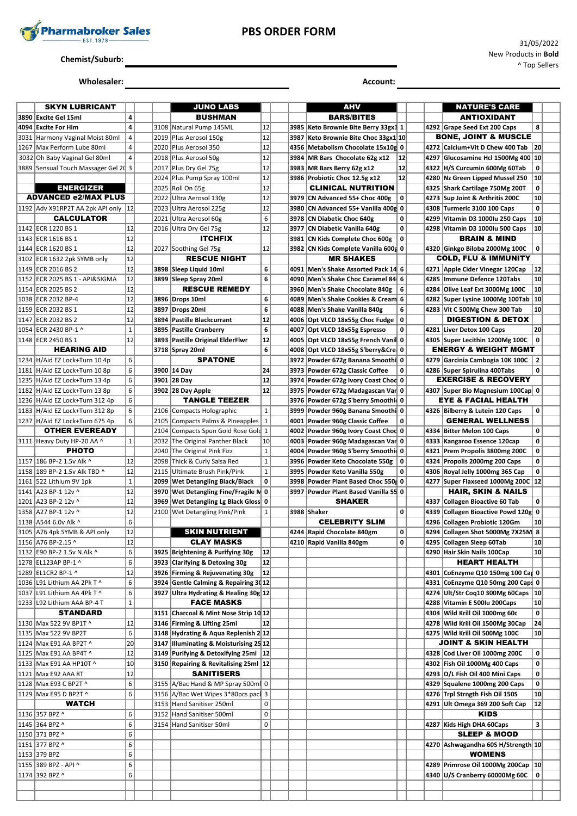

## **PBS ORDER FORM**

# **Chemist/Suburb:**

#### **Wholesaler: Account:**

|      | <b>SKYN LUBRICANT</b>                          |                    |      | <b>JUNO LABS</b>                                                     |                 |      | AHV                                                                |                  |      | <b>NATURE'S CARE</b>                                               |                 |  |
|------|------------------------------------------------|--------------------|------|----------------------------------------------------------------------|-----------------|------|--------------------------------------------------------------------|------------------|------|--------------------------------------------------------------------|-----------------|--|
|      | 3890 Excite Gel 15ml                           | 4                  |      | <b>BUSHMAN</b>                                                       |                 |      | <b>BARS/BITES</b>                                                  |                  |      | ANTIOXIDANT                                                        |                 |  |
| 4094 | <b>Excite For Him</b>                          | 4                  |      | 3108 Natural Pump 145ML                                              | 12              | 3985 | Keto Brownie Bite Berry 33gx1 1                                    |                  |      | 4292 Grape Seed Ext 200 Caps                                       | 8               |  |
|      | 3031 Harmony Vaginal Moist 80ml                | $\overline{4}$     |      | 2019 Plus Aerosol 150g                                               | 12              | 3987 | Keto Brownie Bite Choc 33gx1 10                                    |                  |      | <b>BONE, JOINT &amp; MUSCLE</b>                                    |                 |  |
|      | 1267 Max Perform Lube 80ml                     | 4                  |      | 2020 Plus Aerosol 350                                                | 12              | 4356 | Metabolism Chocolate 15x10g 0                                      |                  |      | 4272 Calcium+Vit D Chew 400 Tab                                    | 20              |  |
|      | 3032 Oh Baby Vaginal Gel 80ml                  | $\overline{4}$     |      | 2018   Plus Aerosol 50g                                              | 12              | 3984 | MR Bars Chocolate 62g x12                                          | 12               | 4297 | Glucosamine Hcl 1500Mg 400 10                                      |                 |  |
|      | 3889 Sensual Touch Massager Gel 20 3           |                    |      | 2017 Plus Dry Gel 75g                                                | 12              | 3983 | MR Bars Berry 62g x12                                              | 12               | 4322 | H/S Curcumin 600Mg 60Tab                                           | 0               |  |
|      |                                                |                    |      | 2024 Plus Pump Spray 100ml                                           | 12              |      | 3986 Probiotic Choc 12.5g x12                                      | 12               |      | 4280 Nz Green Lipped Mussel 250                                    | 10              |  |
|      | <b>ENERGIZER</b>                               |                    |      | 2025   Roll On 65g                                                   | 12              |      | <b>CLINICAL NUTRITION</b>                                          |                  |      | 4325 Shark Cartilage 750Mg 200T                                    | 0               |  |
|      | <b>ADVANCED e2/MAX PLUS</b>                    |                    | 2022 | Ultra Aerosol 130g                                                   | 12              | 3979 | CN Advanced 55+ Choc 400g                                          | 0                | 4273 | Sup Joint & Arthritis 200C                                         | 10              |  |
|      | 1192 Adv X91RP2T AA 2pk API only 12            |                    | 2023 | Ultra Aerosol 225g                                                   | 12              | 3980 | CN Advanced 55+ Vanilla 400g 0                                     |                  | 4308 | Turmeric 3100 100 Caps                                             | $\mathbf 0$     |  |
|      | <b>CALCULATOR</b>                              |                    |      | 2021 Ultra Aerosol 60g                                               | 6               | 3978 | CN Diabetic Choc 640g                                              | 0                |      | 4299 Vitamin D3 1000lu 250 Caps                                    | 10              |  |
|      | 1142 ECR 1220 BS 1                             | 12                 |      | 2016 Ultra Dry Gel 75g                                               | 12              | 3977 | <b>CN Diabetic Vanilla 640g</b>                                    | 0                |      | 4298 Vitamin D3 1000Iu 500 Caps                                    | 10              |  |
|      | 1143 ECR 1616 BS 1                             | 12                 |      | <b>ITCHFIX</b>                                                       |                 | 3981 | CN Kids Complete Choc 600g                                         | 0                |      | <b>BRAIN &amp; MIND</b>                                            |                 |  |
|      | 1144 ECR 1620 BS 1                             | 12                 |      | 2027 Soothing Gel 75g                                                | 12              | 3982 | CN Kids Complete Vanilla 600 0                                     |                  |      | 4320 Ginkgo Biloba 2000Mg 100C                                     | $\mathbf 0$     |  |
|      | 3102 ECR 1632 2pk SYMB only                    | 12                 |      | <b>RESCUE NIGHT</b>                                                  |                 |      | <b>MR SHAKES</b>                                                   |                  |      | <b>COLD, FLU &amp; IMMUNITY</b>                                    |                 |  |
|      | 1149 ECR 2016 BS 2                             | 12                 |      | 3898 Sleep Liquid 10ml                                               | 6               | 4091 | Men's Shake Assorted Pack 14 6                                     |                  |      | 4271 Apple Cider Vinegar 120Cap                                    | 12              |  |
|      | 1152 ECR 2025 BS 1 - API&SIGMA                 | 12                 |      | 3899 Sleep Spray 20ml                                                | 6               | 4090 | Men's Shake Choc Caramel 84 6                                      |                  | 4285 | Immune Defence 120Tabs                                             | 10              |  |
|      | 1154 ECR 2025 BS 2                             | 12                 |      | <b>RESCUE REMEDY</b>                                                 |                 | 3960 | Men's Shake Chocolate 840g                                         | 6                |      | 4284 Olive Leaf Ext 3000Mg 100C                                    | 10              |  |
|      | 1038 ECR 2032 BP-4                             | 12                 |      | 3896 Drops 10ml                                                      | 6               | 4089 | Men's Shake Cookies & Cream 6                                      |                  |      | 4282   Super Lysine 1000Mg 100Tab   10                             |                 |  |
|      | 1159 ECR 2032 BS 1                             | 12                 |      | 3897 Drops 20ml                                                      | 6               | 4088 | Men's Shake Vanilla 840g                                           | 6                |      | 4283 Vit C 500Mg Chew 300 Tab                                      | 10              |  |
|      | 1147 ECR 2032 BS 2                             | 12<br>$\mathbf{1}$ |      | 3894 Pastille Blackcurrant<br>3895 Pastille Cranberry                | 12<br>6         | 4007 | 4006 Opt VLCD 18x55g Choc Fudge                                    | $\mathbf 0$<br>0 |      | <b>DIGESTION &amp; DETOX</b>                                       | 20              |  |
|      | 1054 ECR 2430 BP-1 ^                           | 12                 |      |                                                                      | 12              |      | Opt VLCD 18x55g Espresso                                           |                  |      | 4281 Liver Detox 100 Caps                                          | 0               |  |
|      | 1148 ECR 2450 BS 1<br><b>HEARING AID</b>       |                    |      | 3893 Pastille Original ElderFlwr                                     | 6               |      | 4005 Opt VLCD 18x55g French Vanil 0                                |                  |      | 4305 Super Lecithin 1200Mg 100C<br><b>ENERGY &amp; WEIGHT MGMT</b> |                 |  |
|      | 1234 H/Aid EZ Lock+Turn 10 4p                  | 6                  |      | 3718 Spray 20ml<br><b>SPATONE</b>                                    |                 | 3972 | 4008 Opt VLCD 18x55g S'berry&Cre 0<br>Powder 672g Banana Smoothi 0 |                  |      | 4279 Garcinia Cambogia 10K 100C                                    | $\overline{2}$  |  |
|      | 1181 H/Aid EZ Lock+Turn 10 8p                  | 6                  |      | 3900 14 Day                                                          | 24              | 3973 | Powder 672g Classic Coffee                                         | 0                |      | 4286 Super Spirulina 400Tabs                                       | $\mathbf 0$     |  |
|      | 1235 H/Aid EZ Lock+Turn 13 4p                  | 6                  |      | 3901 28 Day                                                          | 12              | 3974 | Powder 672g Ivory Coast Chod 0                                     |                  |      | <b>EXERCISE &amp; RECOVERY</b>                                     |                 |  |
|      | 1182 H/Aid EZ Lock+Turn 13 8p                  | 6                  |      | 3902 28 Day Apple                                                    | 12              | 3975 | Powder 672g Madagascan Var 0                                       |                  |      | 4307 Super Bio Magnesium 100Cap 0                                  |                 |  |
|      | 1236 H/Aid EZ Lock+Turn 312 4p                 | 6                  |      | <b>TANGLE TEEZER</b>                                                 |                 | 3976 | Powder 672g S'berry Smoothid 0                                     |                  |      | <b>EYE &amp; FACIAL HEALTH</b>                                     |                 |  |
|      | 1183 H/Aid EZ Lock+Turn 312 8p                 | 6                  |      | 2106 Compacts Holographic                                            | $\mathbf{1}$    | 3999 | Powder 960g Banana Smoothi 0                                       |                  |      | 4326 Bilberry & Lutein 120 Caps                                    | 0               |  |
|      | 1237 H/Aid EZ Lock+Turn 675 4p                 | 6                  |      | 2105 Compacts Palms & Pineapples                                     | $\mathbf 1$     |      | 4001 Powder 960g Classic Coffee                                    | 0                |      | <b>GENERAL WELLNESS</b>                                            |                 |  |
|      | <b>OTHER EVEREADY</b>                          |                    | 2104 | Compacts Spun Gold Rose Gold 1                                       |                 |      | 4002 Powder 960g Ivory Coast Chod 0                                |                  | 4334 | <b>Bitter Melon 100 Caps</b>                                       | 0               |  |
|      | 3111 Heavy Duty HP-20 AA ^                     | $\mathbf{1}$       | 2032 | The Original Panther Black                                           | 10 <sup>1</sup> | 4003 | Powder 960g Madagascan Var 0                                       |                  | 4333 | Kangaroo Essence 120cap                                            | 0               |  |
|      | <b>PHOTO</b>                                   |                    |      | 2040 The Original Pink Fizz                                          | $\mathbf 1$     | 4004 | Powder 960g S'berry Smoothid 0                                     |                  |      | 4321 Prem Propolis 3800mg 200C                                     | 0               |  |
|      | 1157 186 BP-2 1.5v Alk ^                       | 12                 |      | 2098 Thick & Curly Salsa Red                                         | $\mathbf 1$     | 3996 | Powder Keto Chocolate 550g                                         | 0                |      | 4324 Propolis 2000mg 200 Caps                                      | $\mathbf 0$     |  |
|      | 1158 189 BP-2 1.5v Alk TBD ^                   | 12                 | 2115 | Ultimate Brush Pink/Pink                                             | $\mathbf 1$     | 3995 | Powder Keto Vanilla 550g                                           | 0                |      | 4306 Royal Jelly 1000mg 365 Cap                                    | 0               |  |
|      | 1161 522 Lithium 9V 1pk                        | $\mathbf 1$        |      | 2099   Wet Detangling Black/Black                                    | 0               | 3998 | Powder Plant Based Choc 550 0                                      |                  |      | 4277 Super Flaxseed 1000Mg 200C                                    | 12              |  |
|      | 1141 A23 BP-1 12v ^                            | 12                 |      | 3970   Wet Detangling Fine/Fragile N 0                               |                 | 3997 | Powder Plant Based Vanilla 55 0                                    |                  |      | <b>HAIR, SKIN &amp; NAILS</b>                                      |                 |  |
|      | 1201 A23 BP-2 12v ^                            | 12                 |      | 3969   Wet Detangling Lg Black Gloss 0                               |                 |      | <b>SHAKER</b>                                                      |                  | 4337 | Collagen Bioactive 60 Tab                                          | 0               |  |
|      | 1358 A27 BP-1 12v ^                            | 12                 |      | 2100 Wet Detangling Pink/Pink                                        | $\mathbf{1}$    |      | 3988 Shaker                                                        | 0                | 4339 | Collagen Bioactive Powd 120g 0                                     |                 |  |
|      | 1138 A544 6.0 Alk ^                            | 6                  |      |                                                                      |                 |      | <b>CELEBRITY SLIM</b>                                              |                  | 4296 | <b>Collagen Probiotic 120Gm</b>                                    | 10              |  |
|      | 3105 A76 4pk SYMB & API only                   | 12                 |      | <b>SKIN NUTRIENT</b>                                                 |                 |      | 4244 Rapid Chocolate 840gm                                         | 0                |      | 4294 Collagen Shot 5000Mg 7X25M 8                                  |                 |  |
|      | 1156 A76 BP-2.15 ^                             | 12                 |      | <b>CLAY MASKS</b>                                                    |                 |      | 4210 Rapid Vanilla 840gm                                           | 0                |      | 4295 Collagen Sleep 60Tab                                          | 10              |  |
|      | 1132 E90 BP-2 1.5v N.Alk ^                     | 6                  |      | 3925 Brightening & Purifying 30g                                     | 12              |      |                                                                    |                  |      | 4290 Hair Skin Nails 100Cap                                        | 10 <sup>1</sup> |  |
|      | 1278 EL123AP BP-1 ^                            | $\boldsymbol{6}$   |      | 3923 Clarifying & Detoxing 30g                                       | 12              |      |                                                                    |                  |      | <b>HEART HEALTH</b>                                                |                 |  |
|      | 1289 EL1CR2 BP-1 ^                             | 12                 |      | 3926 Firming & Rejuvenating 30g                                      | 12              |      |                                                                    |                  |      | 4301 CoEnzyme Q10 150mg 100 Cap 0                                  |                 |  |
|      | 1036 L91 Lithium AA 2Pk T ^                    | 6                  |      | 3924 Gentle Calming & Repairing 3012                                 |                 |      |                                                                    |                  |      | 4331 CoEnzyme Q10 50mg 200 Caps 0                                  |                 |  |
|      | 1037 L91 Lithium AA 4Pk T ^                    | 6                  |      | 3927 Ultra Hydrating & Healing 30g 12                                |                 |      |                                                                    |                  |      | 4274 Ult/Str Coq10 300Mg 60Caps                                    | 10              |  |
|      | 1233 L92 Lithium AAA BP-4 T<br><b>STANDARD</b> | $\mathbf 1$        |      | <b>FACE MASKS</b>                                                    |                 |      |                                                                    |                  |      | 4288 Vitamin E 500Iu 200Caps                                       | 10<br>$\pmb{0}$ |  |
|      | 1130 Max 522 9V BP1T ^                         | 12                 |      | 3151 Charcoal & Mint Nose Strip 10 12<br>3146 Firming & Lifting 25ml | 12              |      |                                                                    |                  |      | 4304 Wild Krill Oil 1000mg 60c<br>4278 Wild Krill Oil 1500Mg 30Cap | 24              |  |
|      | 1135 Max 522 9V BP2T                           | $\boldsymbol{6}$   |      | 3148 Hydrating & Aqua Replenish 2 12                                 |                 |      |                                                                    |                  |      | 4275 Wild Krill Oil 500Mg 100C                                     | 10              |  |
|      | 1124 Max E91 AA BP2T ^                         | 20                 |      | 3147 Illuminating & Moisturising 25 12                               |                 |      |                                                                    |                  |      | <b>JOINT &amp; SKIN HEALTH</b>                                     |                 |  |
|      | 1125 Max E91 AA BP4T ^                         | 12                 |      | 3149 Purifying & Detoxifying 25ml 12                                 |                 |      |                                                                    |                  |      | 4328 Cod Liver Oil 1000mg 200C                                     | 0               |  |
|      | 1133 Max E91 AA HP10T ^                        | 10                 |      | 3150 Repairing & Revitalising 25ml   12                              |                 |      |                                                                    |                  |      | 4302 Fish Oil 1000Mg 400 Caps                                      | $\pmb{0}$       |  |
|      | 1121   Max E92 AAA 8T                          | 12                 |      | <b>SANITISERS</b>                                                    |                 |      |                                                                    |                  |      | 4293 O/L Fish Oil 400 Mini Caps                                    | $\pmb{0}$       |  |
|      | 1128 Max E93 C BP2T ^                          | $\boldsymbol{6}$   |      | 3155 A/Bac Hand & MP Spray 500ml 0                                   |                 |      |                                                                    |                  |      | 4329 Squalene 1000mg 200 Caps                                      | $\pmb{0}$       |  |
|      | 1129 Max E95 D BP2T ^                          | 6                  |      | 3156 A/Bac Wet Wipes 3*80pcs pac 3                                   |                 |      |                                                                    |                  |      | 4276 Trpl Strngth Fish Oil 150S                                    | 10              |  |
|      | <b>WATCH</b>                                   |                    |      | 3153 Hand Sanitiser 250ml                                            | 0               |      |                                                                    |                  |      | 4291 Ult Omega 369 200 Soft Cap                                    | 12              |  |
|      | 1136 357 BPZ ^                                 | 6                  |      | 3152 Hand Sanitiser 500ml                                            | 0               |      |                                                                    |                  |      | <b>KIDS</b>                                                        |                 |  |
|      | 1145 364 BPZ ^                                 | $\boldsymbol{6}$   |      | 3154 Hand Sanitiser 50ml                                             | 0               |      |                                                                    |                  |      | 4287 Kids High DHA 60Caps                                          | 3               |  |
|      | 1150 371 BPZ ^                                 | $\boldsymbol{6}$   |      |                                                                      |                 |      |                                                                    |                  |      | <b>SLEEP &amp; MOOD</b>                                            |                 |  |
|      | 1151 377 BPZ ^                                 | 6                  |      |                                                                      |                 |      |                                                                    |                  |      | 4270 Ashwagandha 60S H/Strength 10                                 |                 |  |
|      | 1153 379 BPZ                                   | 6                  |      |                                                                      |                 |      |                                                                    |                  |      | <b>WOMENS</b>                                                      |                 |  |
|      | 1155 389 BPZ - API ^                           | 6                  |      |                                                                      |                 |      |                                                                    |                  |      | 4289 Primrose Oil 1000Mg 200Cap   10                               |                 |  |
|      | 1174 392 BPZ ^                                 | 6                  |      |                                                                      |                 |      |                                                                    |                  |      | 4340 U/S Cranberry 60000Mg 60C                                     | 0               |  |
|      |                                                |                    |      |                                                                      |                 |      |                                                                    |                  |      |                                                                    |                 |  |
|      |                                                |                    |      |                                                                      |                 |      |                                                                    |                  |      |                                                                    |                 |  |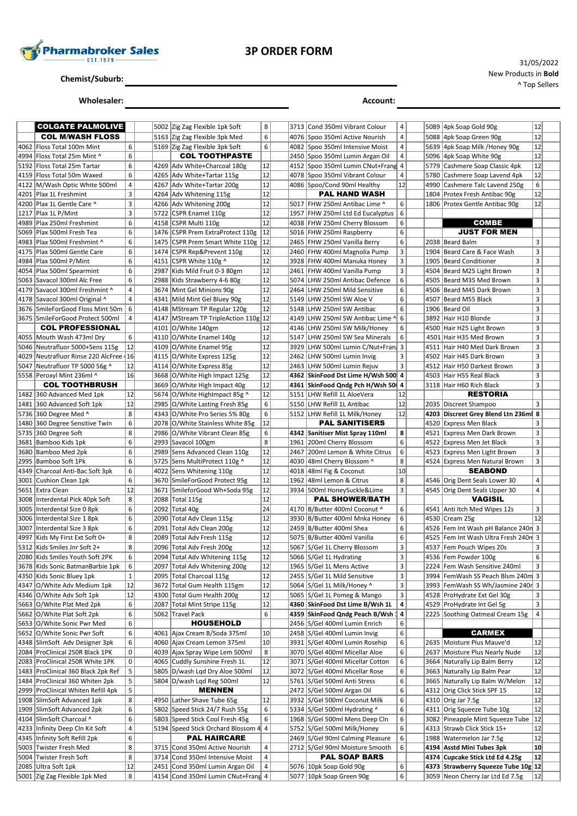

## **3P ORDER FORM**

**Chemist/Suburb:**

**Wholesaler: Account:**

|      | <b>COLGATE PALMOLIVE</b>           |             |      | 5002 Zig Zag Flexible 1pk Soft         | 8              | 3713 Cond 350ml Vibrant Colour     | 4           |      | 5089 4pk Soap Gold 90g              | 12 |  |
|------|------------------------------------|-------------|------|----------------------------------------|----------------|------------------------------------|-------------|------|-------------------------------------|----|--|
|      | <b>COL M/WASH FLOSS</b>            |             |      | 5163 Zig Zag Flexible 3pk Med          | 6              | 4076 Spoo 350ml Active Nourish     | 4           |      | 5088 4pk Soap Green 90g             | 12 |  |
| 4062 | Floss Total 100m Mint              | 6           |      | 5169 Zig Zag Flexible 3pk Soft         | 6              | 4082 Spoo 350ml Intensive Moist    | 4           |      | 5639 4pk Soap Milk /Honey 90g       | 12 |  |
| 4994 | Floss Total 25m Mint ^             | 6           |      | <b>COL TOOTHPASTE</b>                  |                | 2450 Spoo 350ml Lumin Argan Oil    | 4           | 5096 | 4pk Soap White 90g                  | 12 |  |
| 5192 | Floss Total 25m Tartar             | 6           |      | 4269 Adv White+Charcoal 180g           | 12             | 4152 Spoo 350ml Lumin CNut+Frang 4 |             | 5779 | Cashmere Soap Classic 4pk           | 12 |  |
| 4159 | Floss Total 50m Waxed              | 6           |      | 4265 Adv White+Tartar 115g             | 12             | 4078 Spoo 350ml Vibrant Colour     | 4           | 5780 | Cashmere Soap Lavend 4pk            | 12 |  |
| 4122 | M/Wash Optic White 500ml           | 4           |      | 4267 Adv White+Tartar 200g             | 12             | 4086 Spoo/Cond 90ml Healthy        | 12          | 4990 | Cashmere Talc Lavend 250g           | 6  |  |
|      | 4201 Plax 1L Freshmint             | 3           |      | 4264 Adv Whitening 115g                | 12             | PAL HAND WASH                      |             |      | 1804 Protex Fresh Antibac 90g       | 12 |  |
| 4200 | Plax 1L Gentle Care ^              | 3           |      | 4266 Adv Whitening 200g                | 12             | 5017 FHW 250ml Antibac Lime ^      | 6           |      | 1806 Protex Gentle Antibac 90g      | 12 |  |
|      | $1217$ Plax 1L P/Mint              | 3           |      | 5722 CSPR Enamel 110g                  | 12             | 1957 FHW 250ml Ltd Ed Eucalyptus   | 6           |      |                                     |    |  |
| 4989 | Plax 250ml Freshmint               | 6           |      | 4158 CSPR Multi 110g                   | 12             | 4038 FHW 250ml Cherry Blossom      | 6           |      | <b>COMBE</b>                        |    |  |
| 5069 | Plax 500ml Fresh Tea               | 6           |      | 1476 CSPR Prem ExtraProtect 110g       | 12             | 5016 FHW 250ml Raspberry           | 6           |      | <b>JUST FOR MEN</b>                 |    |  |
|      | 4983   Plax 500ml Freshmint ^      | 6           |      | 1475 CSPR Prem Smart White 110g        | 12             | 2465 FHW 250ml Vanilla Berry       | 6           |      | 2038 Beard Balm                     | 3  |  |
|      | 4175   Plax 500ml Gentle Care      | 6           |      | 1474 CSPR Rep&Prevent 110g             | 12             | 2460 FHW 400ml Magnolia Pump       | 3           |      | 1904 Beard Care & Face Wash         | 3  |  |
|      | 4984   Plax 500ml P/Mint           | 6           |      | 4151 CSPR White 110g ^                 | 12             | 3928 FHW 400ml Manuka Honey        | 3           | 1905 | <b>Beard Conditioner</b>            | 3  |  |
|      | 4054 Plax 500ml Spearmint          | 6           |      | 2987 Kids Mild Fruit 0-3 80gm          | 12             | 2461 FHW 400ml Vanilla Pump        | 3           |      | 4504 Beard M25 Light Brown          | 3  |  |
| 5063 | Savacol 300ml Alc Free             | 6           |      | 2988 Kids Strawberry 4-6 80g           | 12             | 5074 LHW 250ml Antibac Defence     | 6           |      | 4505 Beard M35 Med Brown            | 3  |  |
| 4179 | Savacol 300ml Freshmint ^          | 4           |      | 3674 Mint Gel Minions 90g              | 12             | 2464 LHW 250ml Mild Sensitive      | 6           |      | 4506 Beard M45 Dark Brown           | 3  |  |
|      | 4178 Savacol 300ml Original ^      | 4           |      | 4341 Mild Mint Gel Bluey 90g           | 12             | 5149 LHW 250ml SW Aloe V           | 6           |      | 4507 Beard M55 Black                | 3  |  |
|      | 3676 SmileForGood Floss Mint 50m   | 6           |      | 4148 MStream TP Regular 120g           | 12             | 5148 LHW 250ml SW Antibac          | 6           |      | 1906 Beard Oil                      | 3  |  |
|      | 3675 SmileForGood Protect 500ml    | 4           |      | 4147   MStream TP TripleAction 110g 12 |                | 4149 LHW 250ml SW Antibac Lime 시   | 6           |      | 3892 Hair H10 Blonde                | 3  |  |
|      | <b>COL PROFESSIONAL</b>            |             |      | 4101 O/White 140gm                     | 12             | 4146 LHW 250ml SW Milk/Honey       | 6           |      | 4500 Hair H25 Light Brown           | 3  |  |
| 4055 | Mouth Wash 473ml Dry               | 6           |      | 4110 O/White Enamel 140g               | 12             | 5147 LHW 250ml SW Sea Minerals     | 6           |      | 4501 Hair H35 Med Brown             | 3  |  |
|      | 5046   Neutrafluor 5000+Sens 115g  | 12          |      | 4109 O/White Enamel 95g                | 12             | 3929 LHW 500ml Lumin C/Nut+Fran    | 3           |      | 4511 Hair H40 Med Dark Brown        | 3  |  |
| 4029 | Neutrafluor Rinse 220 AlcFree 16   |             |      | 4115 O/White Express 125g              | 12             | 2462 LHW 500ml Lumin Invig         | 3           |      | 4502 Hair H45 Dark Brown            | 3  |  |
| 5047 | Neutrafluor TP 5000 56g ^          | 12          |      | 4114 O/White Express 85g               | 12             | 2463 LHW 500ml Lumin Rejuv         | 3           |      | 4512 Hair H50 Darkest Brown         | 3  |  |
|      | 5558 Peroxyl Mint 236ml ^          | 16          |      | 3668 O/White High Impact 125g          | 12             | 4362 SkinFood Dst Lime H/Wsh 500 4 |             |      | 4503 Hair H55 Real Black            | 3  |  |
|      | <b>COL TOOTHBRUSH</b>              |             |      | 3669 O/White High Impact 40g           | 12             | 4361   SkinFood Qndg Pch H/Wsh 50  | 4           |      | 3118 Hair H60 Rich Black            | 3  |  |
|      | 1482 360 Advanced Med 1pk          | 12          |      | 5674 O/White HighImpact 85g ^          | 12             | 5151 LHW Refill 1L AloeVera        | 12          |      | <b>RESTORIA</b>                     |    |  |
|      | 1481 360 Advanced Soft 1pk         | 12          |      | 2985 O/White Lasting Fresh 85g         | 6              | 5150 LHW Refill 1L Antibac         | 12          |      | 2035   Discreet Shampoo             | 3  |  |
|      | 5736 360 Degree Med ^              | 8           |      | 4343 O/White Pro Series 5% 80g         | 6              | 5152 LHW Refill 1L Milk/Honey      | 12          |      | 4203 Discreet Grey Blend Ltn 236ml  | 8  |  |
| 1480 | 360 Degree Sensitive Twin          | 6           |      | 2078 O/White Stainless White 85g       | 12             | <b>PAL SANITISERS</b>              |             |      | 4520 Express Men Black              | 3  |  |
|      | 5735 360 Degree Soft               | 8           |      | 2986 O/White Vibrant Clean 85g         | 6              | 4342 Sanitiser Mist Spray 110ml    | 8           |      | 4521 Express Men Dark Brown         | 3  |  |
| 3681 | Bamboo Kids 1pk                    | 6           |      | 2993 Savacol 100gm                     | 8              | 1961 200ml Cherry Blossom          | 6           |      | 4522 Express Men Jet Black          | 3  |  |
|      | 3680 Bamboo Med 2pk                | 6           |      | 2989 Sens Advanced Clean 110g          | 12             | 2467 200ml Lemon & White Citrus    | 6           |      | 4523 Express Men Light Brown        | 3  |  |
| 2995 | Bamboo Soft 1Pk                    | 6           |      | 5725 Sens MultiProtect 110g ^          | 12             | 4030 48ml Cherry Blossom ^         | 8           |      | 4524 Express Men Natural Brown      | 3  |  |
| 4349 | Charcoal Anti-Bac Soft 3pk         | 6           |      | 4022 Sens Whitening 110g               | 12             | 4018 48ml Fig & Coconut            | 10          |      | <b>SEABOND</b>                      |    |  |
|      | 3001 Cushion Clean 1pk             | 6           |      | 3670 SmileForGood Protect 95g          | 12             | 1962 48ml Lemon & Citrus           | 8           |      | 4546 Orig Dent Seals Lower 30       | 4  |  |
| 5651 | Extra Clean                        | 12          | 3671 | SmileforGood Wh+Soda 95g               | 12             | 3934 500ml HoneySuckle&Lime        | 3           |      | 4545 Orig Dent Seals Upper 30       | 4  |  |
| 3008 | Interdental Pick 40pk Soft         | 8           |      | 2088 Total 115g                        | 12             | <b>PAL SHOWER/BATH</b>             |             |      | <b>VAGISIL</b>                      |    |  |
|      | 3005 Interdental Size 0 8pk        | 6           | 2092 | Total 40g                              | 24             | 4170 B/Butter 400ml Coconut ^      | 6           |      | 4541 Anti Itch Med Wipes 12s        | 3  |  |
|      | 3006 Interdental Size 1 8pk        | 6           |      | 2090 Total Adv Clean 115g              | 12             | 3930 B/Butter 400ml Mnka Honey     | 6           |      | 4530 Cream 25g                      | 12 |  |
| 3007 | Interdental Size 3 8pk             | 6           | 2091 | Total Adv Clean 200g                   | 12             | 2459 B/Butter 400ml Shea           | 6           | 4526 | Fem Int Wash pH Balance 240n 3      |    |  |
| 4997 | Kids My First Ext Soft 0+          | 8           |      | 2089 Total Adv Fresh 115g              | 12             | 5075 B/Butter 400ml Vanilla        | 6           | 4525 | Fem Int Wash Ultra Fresh 240n 3     |    |  |
| 5312 | Kids Smiles Jnr Soft 2+            | 8           |      | 2096 Total Adv Fresh 200g              | 12             | 5067 S/Gel 1L Cherry Blossom       | 3           |      | 4537 Fem Pouch Wipes 20s            | 3  |  |
|      | 2080 Kids Smiles Youth Soft 2PK    | 6           |      | 2094 Total Adv Whitening 115g          | 12             | 5066 S/Gel 1L Hydrating            | 3           |      | 4536 Fem Powder 100g                | 6  |  |
|      | 3678 Kids Sonic BatmanBarbie 1pk   | 6           |      | 2097 Total Adv Whitening 200g          | 12             | 1965 S/Gel 1L Mens Active          | 3           |      | 2224 Fem Wash Sensitive 240ml       | 3  |  |
|      | 4350 Kids Sonic Bluey 1pk          | $\mathbf 1$ | 2095 | Total Charcoal 115g                    | 12             | 2455 S/Gel 1L Mild Sensitive       | 3           |      | 3994 FemWash SS Peach Blsm 240m 3   |    |  |
|      | 4347 O/White Adv Medium 1pk        | 12          |      | 3672 Total Gum Health 115gm            | 12             | 5064 S/Gel 1L Milk/Honey ^         | $\mathsf 3$ |      | 3993 FemWash SS Wh/Jasmine 240r 3   |    |  |
|      | 4346 O/White Adv Soft 1pk          | 12          |      | 4300 Total Gum Health 200g             | 12             | 5065 S/Gel 1L Pomeg & Mango        | 3           |      | 4528 ProHydrate Ext Gel 30g         | 3  |  |
| 5663 | O/White Plat Med 2pk               | 6           | 2087 | <b>Total Mint Stripe 115g</b>          | 12             | 4360 SkinFood Dst Lime B/Wsh 1L    | 4           |      | 4529 ProHydrate Int Gel 5g          | 3  |  |
|      | 5662 O/White Plat Soft 2pk         | 6           |      | 5062 Travel Pack                       | 6              | 4359 SkinFood Qndg Peach B/Wsh 1   | 4           |      | 2225 Soothing Oatmeal Cream 15g     | 4  |  |
|      | 5653 O/White Sonic Pwr Med         | 6           |      | <b>HOUSEHOLD</b>                       |                | 2456 S/Gel 400ml Lumin Enrich      | 6           |      |                                     |    |  |
| 5652 | O/White Sonic Pwr Soft             | 6           | 4061 | Ajax Cream B/Soda 375ml                | 10             | 2458 S/Gel 400ml Lumin Invig       | 6           |      | <b>CARMEX</b>                       |    |  |
|      | 4348 SlimSoft Adv Designer 3pk     | 6           |      | 4060 Ajax Cream Lemon 375ml            | 10             | 3931 S/Gel 400ml Lumin Rosehip     | 6           |      | 2635 Moisture Plus Mauve'd          | 12 |  |
|      | 2084 ProClinical 250R Black 1PK    | 0           |      | 4039 Ajax Spray Wipe Lem 500ml         | 8              | 3070 S/Gel 400ml Micellar Aloe     | 6           |      | 2637 Moisture Plus Nearly Nude      | 12 |  |
|      | 2083 ProClinical 250R White 1PK    | 0           | 4065 | Cuddly Sunshine Fresh 1L               | 12             | 3071 S/Gel 400ml Micellar Cotton   | 6           |      | 3664 Naturally Lip Balm Berry       | 12 |  |
|      | 1483 ProClinical 360 Black 2pk Ref | 5           |      | 5805 D/wash Lqd Dry Aloe 500ml         | 12             | 3072 S/Gel 400ml Micellar Rose     | 6           |      | 3663 Naturally Lip Balm Pear        | 12 |  |
|      | 1484 ProClinical 360 Whiten 2pk    | 5           |      | 5804 D/wash Lqd Reg 500ml              | 12             | 5761 S/Gel 500ml Anti Stress       | 6           |      | 3665 Naturally Lip Balm W/Melon     | 12 |  |
|      | 2999 ProClinical Whiten Refill 4pk | 5           |      | <b>MENNEN</b>                          |                | 2472 S/Gel 500ml Argan Oil         | 6           |      | 4312 Orig Click Stick SPF 15        | 12 |  |
|      | 1908 SlimSoft Advanced 1pk         | 8           |      | 4950 Lather Shave Tube 65g             | 12             | 3932 S/Gel 500ml Coconut Milk      | 6           |      | 4310 Orig Jar 7.5g                  | 12 |  |
| 1909 | SlimSoft Advanced 2pk              | 6           |      | 5802 Speed Stick 24/7 Rush 55g         | 6              | 5334 S/Gel 500ml Hydrating ^       | 6           |      | 4311 Orig Squeeze Tube 10g          | 12 |  |
|      | 4104 SlimSoft Charcoal ^           | 6           |      | 5803 Speed Stick Cool Fresh 45g        | 6              | 1968 S/Gel 500ml Mens Deep Cln     | 6           |      | 3082 Pineapple Mint Squeeze Tube    | 12 |  |
| 4233 | Infinity Deep Cln Kit Soft         | 4           |      | 5194 Speed Stick Orchard Blossom 4 4   |                | 5752 S/Gel 500ml Milk/Honey        | 6           |      | 4313 Strawb Click Stick 15+         | 12 |  |
| 4345 | Infinity Soft Refill 2pk           | 6           |      | <b>PAL HAIRCARE</b>                    |                | 2469 S/Gel 90ml Calming Pleasure   | 6           |      | 1988 Watermelon Jar 7.5g            | 12 |  |
|      | 5003 Twister Fresh Med             | 8           |      | 3715 Cond 350ml Active Nourish         | 4              | 2712 S/Gel 90ml Moisture Smooth    | 6           |      | 4194 Asstd Mini Tubes 3pk           | 10 |  |
|      | 5004 Twister Fresh Soft            | 8           |      | 3714 Cond 350ml Intensive Moist        | $\overline{4}$ | <b>PAL SOAP BARS</b>               |             |      | 4374 Cupcake Stick Ltd Ed 4.25g     | 12 |  |
| 2085 | Ultra Soft 1pk                     | 12          | 2451 | Cond 350ml Lumin Argan Oil             | $\overline{4}$ | 5076 10pk Soap Gold 90g            | 6           |      | 4373 Strawberry Squeeze Tube 10g 12 |    |  |
|      | 5001 Zig Zag Flexible 1pk Med      | 8           |      | 4154 Cond 350ml Lumin CNut+Frang 4     |                | 5077 10pk Soap Green 90g           | 6           |      | 3059 Neon Cherry Jar Ltd Ed 7.5g    | 12 |  |

31/05/2022 New Products in **Bold** ^ Top Sellers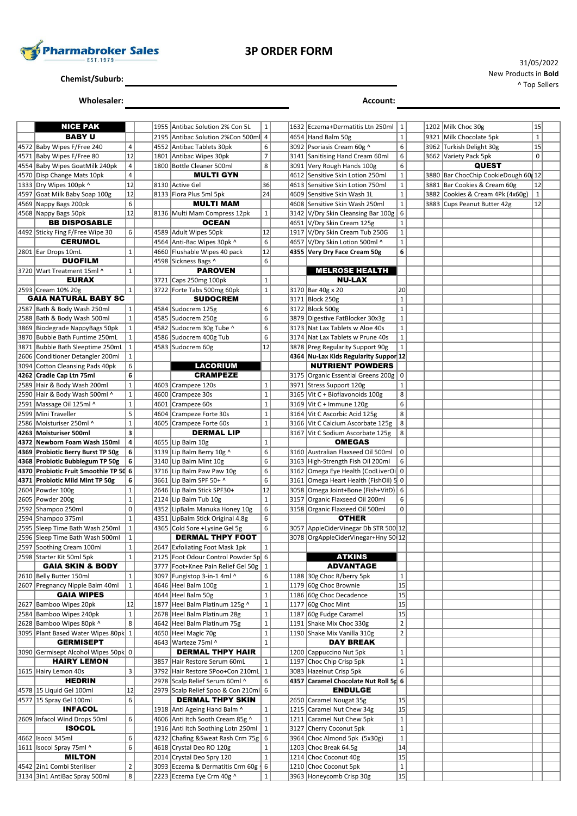

**Chemist/Suburb:**

**Wholesaler: Account:**

| <b>NICE PAK</b>                                             |                | 1955 Antibac Solution 2% Con 5L                                                   | $\mathbf 1$    |      | 1632 Eczema+Dermatitis Ltn 250ml                                   | 1              |  | 1202 Milk Choc 30g                  | 15           |  |
|-------------------------------------------------------------|----------------|-----------------------------------------------------------------------------------|----------------|------|--------------------------------------------------------------------|----------------|--|-------------------------------------|--------------|--|
| <b>BABY U</b>                                               |                | 2195 Antibac Solution 2%Con 500ml                                                 | $\overline{4}$ |      | 4654 Hand Balm 50g                                                 | $\mathbf{1}$   |  | 9321 Milk Chocolate 5pk             | $\mathbf{1}$ |  |
| 4572 Baby Wipes F/Free 240                                  | 4              | 4552 Antibac Tablets 30pk                                                         | 6              |      | 3092 Psoriasis Cream 60g ^                                         | 6              |  | 3962 Turkish Delight 30g            | 15           |  |
| 4571 Baby Wipes F/Free 80                                   | 12             | 1801 Antibac Wipes 30pk                                                           | $\overline{7}$ |      | 3141 Sanitising Hand Cream 60ml                                    | 6              |  | 3662 Variety Pack 5pk               | $\mathbf 0$  |  |
| 4554 Baby Wipes GoatMilk 240pk                              | $\sqrt{4}$     | 1800 Bottle Cleaner 500ml                                                         | 8              |      | 3091 Very Rough Hands 100g                                         | 6              |  | <b>QUEST</b>                        |              |  |
| 4570 Disp Change Mats 10pk                                  | $\overline{4}$ | <b>MULTI GYN</b>                                                                  |                | 4612 | Sensitive Skin Lotion 250ml                                        | $\mathbf{1}$   |  | 3880 Bar ChocChip CookieDough 60 12 |              |  |
| 1333 Dry Wipes 100pk ^                                      | 12             | 8130 Active Gel                                                                   | 36             |      | 4613 Sensitive Skin Lotion 750ml                                   | $\mathbf{1}$   |  | 3881 Bar Cookies & Cream 60g        | 12           |  |
| 4597 Goat Milk Baby Soap 100g                               | 12             | 8133 Flora Plus 5ml 5pk                                                           | 24             |      | 4609 Sensitive Skin Wash 1L                                        | $\mathbf{1}$   |  | 3882 Cookies & Cream 4Pk (4x60g)    | $\vert$ 1    |  |
| 4569 Nappy Bags 200pk                                       | 6              | <b>MULTI MAM</b>                                                                  |                |      | 4608 Sensitive Skin Wash 250ml                                     | $\mathbf 1$    |  | 3883 Cups Peanut Butter 42g         | 12           |  |
| 4568 Nappy Bags 50pk                                        | 12             | 8136 Multi Mam Compress 12pk                                                      | $\mathbf{1}$   |      | 3142 V/Dry Skin Cleansing Bar 100g                                 | 6              |  |                                     |              |  |
| <b>BB DISPOSABLE</b>                                        |                | <b>OCEAN</b>                                                                      |                |      | 4651 V/Dry Skin Cream 125g                                         | $\mathbf{1}$   |  |                                     |              |  |
| 4492 Sticky Fing F/Free Wipe 30                             | 6              | 4589 Adult Wipes 50pk                                                             | 12             | 1917 | V/Dry Skin Cream Tub 250G                                          | $1\,$          |  |                                     |              |  |
| <b>CERUMOL</b>                                              |                | 4564 Anti-Bac Wipes 30pk ^                                                        | 6              | 4657 | V/Dry Skin Lotion 500ml ^                                          | $\mathbf 1$    |  |                                     |              |  |
| 2801 Ear Drops 10mL                                         | $\mathbf{1}$   | 4660 Flushable Wipes 40 pack                                                      | 12             |      | 4355 Very Dry Face Cream 50g                                       | 6              |  |                                     |              |  |
| <b>DUOFILM</b>                                              |                | 4598 Sickness Bags ^                                                              | 6              |      |                                                                    |                |  |                                     |              |  |
| 3720 Wart Treatment 15ml ^                                  | $\mathbf{1}$   | <b>PAROVEN</b>                                                                    |                |      | <b>MELROSE HEALTH</b>                                              |                |  |                                     |              |  |
| <b>EURAX</b>                                                |                | 3721 Caps 250mg 100pk                                                             | $\mathbf{1}$   |      | <b>NU-LAX</b>                                                      |                |  |                                     |              |  |
| 2593 Cream 10% 20g                                          | $\mathbf{1}$   | 3722 Forte Tabs 500mg 60pk                                                        | $\mathbf 1$    |      | 3170 Bar 40g x 20                                                  | 20             |  |                                     |              |  |
| <b>GAIA NATURAL BABY SC</b>                                 |                | <b>SUDOCREM</b>                                                                   |                |      | 3171 Block 250g                                                    | $\mathbf 1$    |  |                                     |              |  |
| 2587 Bath & Body Wash 250ml                                 | $\mathbf{1}$   | 4584 Sudocrem 125g                                                                | 6              |      | 3172 Block 500g                                                    | $\mathbf 1$    |  |                                     |              |  |
| 2588 Bath & Body Wash 500ml                                 | $\mathbf 1$    | 4585 Sudocrem 250g                                                                | 6              |      | 3879 Digestive FatBlocker 30x3g                                    | $1\,$          |  |                                     |              |  |
| 3869 Biodegrade NappyBags 50pk                              | $\mathbf 1$    | 4582 Sudocrem 30g Tube ^                                                          | 6              |      | 3173 Nat Lax Tablets w Aloe 40s                                    | $\mathbf{1}$   |  |                                     |              |  |
| 3870 Bubble Bath Funtime 250mL                              | $\mathbf 1$    | 4586 Sudocrem 400g Tub                                                            | 6              | 3174 | Nat Lax Tablets w Prune 40s                                        | $1\,$          |  |                                     |              |  |
| 3871 Bubble Bath Sleeptime 250mL                            | $\vert$ 1      | 4583 Sudocrem 60g                                                                 | 12             |      | 3878 Preg Regularity Support 90g                                   | $\mathbf{1}$   |  |                                     |              |  |
| 2606 Conditioner Detangler 200ml                            | $\mathbf{1}$   | <b>LACORIUM</b>                                                                   |                |      | 4364 Nu-Lax Kids Regularity Suppor 12<br><b>NUTRIENT POWDERS</b>   |                |  |                                     |              |  |
| 3094 Cotton Cleansing Pads 40pk<br>4262 Cradle Cap Ltn 75ml | 6<br>6         | <b>CRAMPEZE</b>                                                                   |                |      |                                                                    |                |  |                                     |              |  |
| 2589 Hair & Body Wash 200ml                                 | $\mathbf 1$    | 4603 Crampeze 120s                                                                | $\mathbf 1$    |      | 3175 Organic Essential Greens 200g   0<br>3971 Stress Support 120g | $\mathbf{1}$   |  |                                     |              |  |
| 2590 Hair & Body Wash 500ml ^                               | $\mathbf 1$    | 4600 Crampeze 30s                                                                 | $\mathbf 1$    |      | 3165 Vit C + Bioflavonoids 100g                                    | 8              |  |                                     |              |  |
| 2591 Massage Oil 125ml ^                                    | $\mathbf 1$    | 4601 Crampeze 60s                                                                 | $\mathbf 1$    |      | 3169 Vit C + Immune 120g                                           | 6              |  |                                     |              |  |
| 2599 Mini Traveller                                         | 5              | 4604 Crampeze Forte 30s                                                           | $\mathbf 1$    |      | 3164 Vit C Ascorbic Acid 125g                                      | 8              |  |                                     |              |  |
| 2586 Moisturiser 250ml ^                                    | $\mathbf 1$    | 4605 Crampeze Forte 60s                                                           | $\mathbf 1$    |      | 3166 Vit C Calcium Ascorbate 125g                                  | 8              |  |                                     |              |  |
| 4263   Moisturiser 500ml                                    | 3              | <b>DERMAL LIP</b>                                                                 |                |      | 3167 Vit C Sodium Ascorbate 125g                                   | 8              |  |                                     |              |  |
| 4372 Newborn Foam Wash 150ml                                | 4              | 4655 Lip Balm 10g                                                                 | $\mathbf 1$    |      | <b>OMEGAS</b>                                                      |                |  |                                     |              |  |
| 4369 Probiotic Berry Burst TP 50g                           | 6              | 3139 Lip Balm Berry 10g ^                                                         | 6              |      | 3160 Australian Flaxseed Oil 500ml                                 | 0              |  |                                     |              |  |
| 4368 Probiotic Bubblegum TP 50g                             | 6              | 3140 Lip Balm Mint 10g                                                            | 6              |      | 3163 High-Strength Fish Oil 200ml                                  | 6              |  |                                     |              |  |
| 4370 Probiotic Fruit Smoothie TP 50 6                       |                | 3716 Lip Balm Paw Paw 10g                                                         | 6              | 3162 | Omega Eye Health (CodLiverOi 0                                     |                |  |                                     |              |  |
| 4371 Probiotic Mild Mint TP 50g                             | 6              | 3661 Lip Balm SPF 50+ ^                                                           | 6              |      | 3161 Omega Heart Health (FishOil) 5 0                              |                |  |                                     |              |  |
| 2604 Powder 100g                                            | $\mathbf{1}$   | 2646 Lip Balm Stick SPF30+                                                        | 12             |      | 3058 Omega Joint+Bone (Fish+VitD) 6                                |                |  |                                     |              |  |
| 2605 Powder 200g                                            | $\mathbf 1$    | 2124 Lip Balm Tub 10g                                                             | $\mathbf 1$    | 3157 | Organic Flaxseed Oil 200ml                                         | 6              |  |                                     |              |  |
| 2592 Shampoo 250ml                                          | $\pmb{0}$      | 4352 LipBalm Manuka Honey 10g                                                     | 6              |      | 3158 Organic Flaxseed Oil 500ml                                    | 0              |  |                                     |              |  |
| 2594 Shampoo 375ml                                          | $\mathbf{1}$   | 4351 LipBalm Stick Original 4.8g                                                  | 6              |      | <b>OTHER</b>                                                       |                |  |                                     |              |  |
| 2595 Sleep Time Bath Wash 250ml                             | $\mathbf 1$    | 4365 Cold Sore +Lysine Gel 5g                                                     | 6              |      | 3057 AppleCiderVinegar Db STR 500 12                               |                |  |                                     |              |  |
| 2596 Sleep Time Bath Wash 500ml                             | $\mathbf 1$    | <b>DERMAL THPY FOOT</b>                                                           |                |      | 3078 OrgAppleCiderVinegar+Hny 50 12                                |                |  |                                     |              |  |
| 2597 Soothing Cream 100ml                                   | $\mathbf 1$    | 2647 Exfoliating Foot Mask 1pk                                                    | $\mathbf{1}$   |      |                                                                    |                |  |                                     |              |  |
| 2598   Starter Kit 50ml 5pk<br><b>GAIA SKIN &amp; BODY</b>  | 1              | 2125   Foot Odour Control Powder Sp 6<br>3777   Foot+Knee Pain Relief Gel 50g   1 |                |      | <b>ATKINS</b><br><b>ADVANTAGE</b>                                  |                |  |                                     |              |  |
| 2610 Belly Butter 150ml                                     | 1              | 3097   Fungistop 3-in-1 4ml ^                                                     | 6              |      | 1188 30g Choc R/berry 5pk                                          | $\mathbf{1}$   |  |                                     |              |  |
| 2607 Pregnancy Nipple Balm 40ml                             | $\mathbf 1$    | 4646 Heel Balm 100g                                                               | $\mathbf{1}$   |      | 1179 60g Choc Brownie                                              | 15             |  |                                     |              |  |
| <b>GAIA WIPES</b>                                           |                | 4644 Heel Balm 50g                                                                | $\mathbf 1$    |      | 1186 60g Choc Decadence                                            | 15             |  |                                     |              |  |
| 2627 Bamboo Wipes 20pk                                      | 12             | 1877 Heel Balm Platinum 125g ^                                                    | $\mathbf 1$    |      | 1177 60g Choc Mint                                                 | 15             |  |                                     |              |  |
| 2584 Bamboo Wipes 240pk                                     | $\mathbf 1$    | 2678 Heel Balm Platinum 28g                                                       | $\mathbf 1$    | 1187 | 60g Fudge Caramel                                                  | 15             |  |                                     |              |  |
| 2628 Bamboo Wipes 80pk ^                                    | 8              | 4642 Heel Balm Platinum 75g                                                       | $\mathbf 1$    |      | 1191 Shake Mix Choc 330g                                           | $\overline{2}$ |  |                                     |              |  |
| 3095 Plant Based Water Wipes 80pk 1                         |                | 4650 Heel Magic 70g                                                               | $\mathbf 1$    |      | 1190 Shake Mix Vanilla 310g                                        | $\overline{2}$ |  |                                     |              |  |
| <b>GERMISEPT</b>                                            |                | 4643 Warteze 75ml ^                                                               | $\mathbf 1$    |      | <b>DAY BREAK</b>                                                   |                |  |                                     |              |  |
| 3090 Germisept Alcohol Wipes 50pk 0                         |                | <b>DERMAL THPY HAIR</b>                                                           |                |      | 1200 Cappuccino Nut 5pk                                            | $\mathbf{1}$   |  |                                     |              |  |
| <b>HAIRY LEMON</b>                                          |                | 3857 Hair Restore Serum 60mL                                                      | $\mathbf{1}$   |      | 1197 Choc Chip Crisp 5pk                                           | $\mathbf{1}$   |  |                                     |              |  |
| 1615 Hairy Lemon 40s                                        | 3              | 3792 Hair Restore SPoo+Con 210mL 1                                                |                |      | 3083 Hazelnut Crisp 5pk                                            | 6              |  |                                     |              |  |
| <b>HEDRIN</b>                                               |                | 2978 Scalp Relief Serum 60ml ^                                                    | 6              |      | 4357 Caramel Chocolate Nut Roll 5r 6                               |                |  |                                     |              |  |
| 4578 15 Liquid Gel 100ml                                    | 12<br>6        | 2979 Scalp Relief Spoo & Con 210ml 6                                              |                |      | <b>ENDULGE</b>                                                     |                |  |                                     |              |  |
| 4577   15 Spray Gel 100ml<br><b>INFACOL</b>                 |                | <b>DERMAL THPY SKIN</b><br>1918 Anti Ageing Hand Balm ^                           | $\mathbf{1}$   | 1215 | 2650 Caramel Nougat 35g<br>Caramel Nut Chew 34g                    | 15<br>15       |  |                                     |              |  |
| 2609 Infacol Wind Drops 50ml                                | 6              | 4606 Anti Itch Sooth Cream 85g ^                                                  | $\mathbf{1}$   |      | 1211 Caramel Nut Chew 5pk                                          | $\mathbf{1}$   |  |                                     |              |  |
| <b>ISOCOL</b>                                               |                | 1916 Anti Itch Soothing Lotn 250ml                                                | $\mathbf{1}$   |      | 3127 Cherry Coconut 5pk                                            | $1\,$          |  |                                     |              |  |
| 4662 Isocol 345ml                                           | 6              | 4232 Chafing & Sweat Rash Crm 75g                                                 | 6              |      | 3964 Choc Almond 5pk (5x30g)                                       | $\mathbf{1}$   |  |                                     |              |  |
| 1611   Isocol Spray 75ml ^                                  | 6              | 4618 Crystal Deo RO 120g                                                          | $\mathbf 1$    |      | 1203 Choc Break 64.5g                                              | 14             |  |                                     |              |  |
| <b>MILTON</b>                                               |                | 2014 Crystal Deo Spry 120                                                         | $\mathbf{1}$   |      | 1214 Choc Coconut 40g                                              | 15             |  |                                     |              |  |
| 4542 2in1 Combi Steriliser                                  | $\overline{2}$ | 3093 Eczema & Dermatitis Crm 60g                                                  | 6              |      | 1210 Choc Coconut 5pk                                              | $\mathbf{1}$   |  |                                     |              |  |
| 3134 3in1 AntiBac Spray 500ml                               | 8              | 2223 Eczema Eye Crm 40g ^                                                         | $\mathbf 1$    |      | 3963 Honeycomb Crisp 30g                                           | 15             |  |                                     |              |  |

31/05/2022 New Products in **Bold** ^ Top Sellers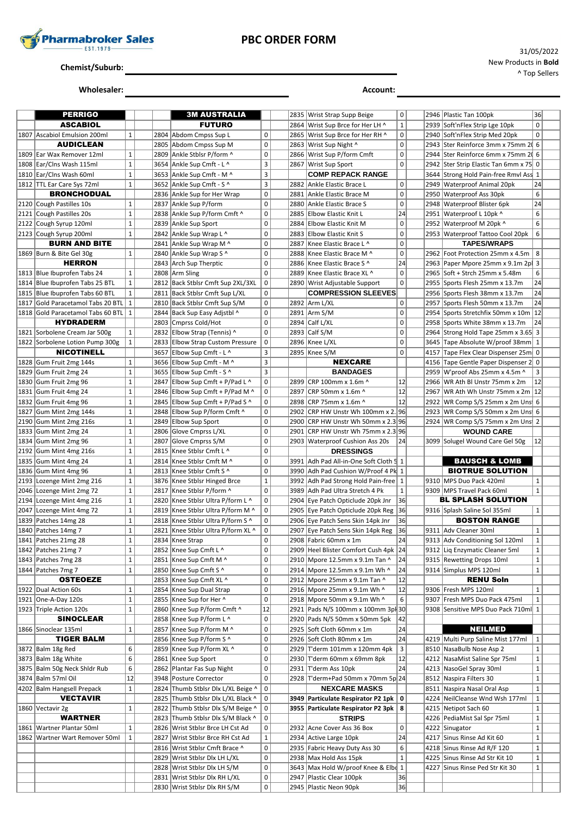

### **PBC ORDER FORM**

**Chemist/Suburb:**

**Wholesaler: Account:**

31/05/2022 New Products in **Bold** ^ Top Sellers

|      | <b>PERRIGO</b>                        |              |      | <b>3M AUSTRALIA</b>                                                     |                          |      | 2835 Wrist Strap Supp Beige                                                        | 0            |      | 2946 Plastic Tan 100pk                                 | 36           |
|------|---------------------------------------|--------------|------|-------------------------------------------------------------------------|--------------------------|------|------------------------------------------------------------------------------------|--------------|------|--------------------------------------------------------|--------------|
|      | <b>ASCABIOL</b>                       |              |      | <b>FUTURO</b>                                                           |                          | 2864 | Wrist Sup Brce for Her LH ^                                                        | $\mathbf 1$  | 2939 | Soft'nFlex Strip Lge 10pk                              | $\mathbf 0$  |
|      | 1807 Ascabiol Emulsion 200ml          | $\mathbf{1}$ |      | 2804 Abdom Cmpss Sup L                                                  | $\mathbf 0$              | 2865 | Wrist Sup Brce for Her RH ^                                                        | $\mathsf 0$  | 2940 | Soft'nFlex Strip Med 20pk                              | $\mathbf 0$  |
|      | <b>AUDICLEAN</b>                      |              |      | 2805 Abdom Cmpss Sup M                                                  | $\mathbf 0$              | 2863 | Wrist Sup Night ^                                                                  | $\mathsf 0$  |      | 2943 Ster Reinforce 3mm x 75mm 20 6                    |              |
|      | 1809 Ear Wax Remover 12ml             | $\mathbf{1}$ |      | 2809 Ankle Stblsr P/form ^                                              | $\mathbf 0$              |      | 2866 Wrist Sup P/form Cmft                                                         | $\mathsf 0$  |      | 2944 Ster Reinforce 6mm x 75mm 20 6                    |              |
|      | 1808 Ear/Clns Wash 115ml              | $\mathbf 1$  |      | 3654 Ankle Sup Cmft - L ^                                               | 3                        | 2867 | Wrist Sup Sport                                                                    | $\mathbf 0$  | 2942 | Ster Strip Elastic Tan 6mm x 75 0                      |              |
|      |                                       |              |      |                                                                         |                          |      |                                                                                    |              |      |                                                        |              |
|      | 1810 Ear/Clns Wash 60ml               | $\mathbf{1}$ |      | 3653 Ankle Sup Cmft - M ^                                               | 3                        |      | <b>COMP REPACK RANGE</b>                                                           |              |      | 3644 Strong Hold Pain-free Rmvl Ass 1                  |              |
|      | 1812   TTL Ear Care Sys 72ml          | $\mathbf{1}$ |      | 3652 Ankle Sup Cmft - S ^                                               | 3                        | 2882 | Ankle Elastic Brace L                                                              | $\mathsf 0$  | 2949 | <b>Waterproof Animal 20pk</b>                          | 24           |
|      | <b>BRONCHODUAL</b>                    |              |      | 2836 Ankle Sup for Her Wrap                                             | $\mathbf 0$              | 2881 | Ankle Elastic Brace M                                                              | $\mathsf 0$  | 2950 | <b>Waterproof Ass 30pk</b>                             | 6            |
|      | 2120 Cough Pastilles 10s              | $\mathbf{1}$ |      | 2837 Ankle Sup P/form                                                   | $\pmb{0}$                | 2880 | Ankle Elastic Brace S                                                              | $\mathsf 0$  | 2948 | <b>Waterproof Blister 6pk</b>                          | 24           |
|      | 2121 Cough Pastilles 20s              | $\mathbf 1$  |      | 2838 Ankle Sup P/form Cmft ^                                            | $\mathbf 0$              | 2885 | <b>Elbow Elastic Knit L</b>                                                        | 24           |      | 2951 Waterproof L 10pk ^                               | 6            |
|      | 2122 Cough Syrup 120ml                | $\mathbf{1}$ |      | 2839 Ankle Sup Sport                                                    | $\mathbf 0$              | 2884 | <b>Elbow Elastic Knit M</b>                                                        | 0            | 2952 | Waterproof M 20pk ^                                    | 6            |
|      | 2123 Cough Syrup 200ml                | $\mathbf{1}$ |      | 2842 Ankle Sup Wrap L ^                                                 | $\mathbf 0$              | 2883 | <b>Elbow Elastic Knit S</b>                                                        | $\mathbf 0$  |      | 2953 Waterproof Tattoo Cool 20pk                       | 6            |
|      | <b>BURN AND BITE</b>                  |              |      | 2841 Ankle Sup Wrap M ^                                                 | $\pmb{0}$                | 2887 | Knee Elastic Brace L ^                                                             | $\mathbf 0$  |      | <b>TAPES/WRAPS</b>                                     |              |
|      | 1869 Burn & Bite Gel 30g              | $\mathbf{1}$ |      | 2840 Ankle Sup Wrap S ^                                                 | $\mathbf 0$              | 2888 | Knee Elastic Brace M ^                                                             | $\mathsf 0$  | 2962 | Foot Protection 25mm x 4.5m                            | 8            |
|      | <b>HERRON</b>                         |              |      | 2843 Arch Sup Therptic                                                  | $\mathbf 0$              | 2886 | Knee Elastic Brace S ^                                                             | 24           | 2963 | Paper Mpore 25mm x 9.1m 2p                             | 3            |
|      | 1813 Blue Ibuprofen Tabs 24           | $\mathbf{1}$ |      | 2808 Arm Sling                                                          | $\mathbf 0$              | 2889 | Knee Elastic Brace XL ^                                                            | $\mathsf 0$  |      | 2965 Soft + Strch 25mm x 5.48m                         | 6            |
|      | 1814 Blue Ibuprofen Tabs 25 BTL       | $\mathbf{1}$ |      | 2812 Back Stblsr Cmft Sup 2XL/3XL                                       | $\pmb{0}$                |      | 2890 Wrist Adjustable Support                                                      | $\mathbf 0$  |      | 2955 Sports Flesh 25mm x 13.7m                         | 24           |
|      | 1815 Blue Ibuprofen Tabs 60 BTL       | $\mathbf 1$  |      | 2811 Back Stblsr Cmft Sup L/XL                                          | $\mathbf 0$              |      | <b>COMPRESSION SLEEVES</b>                                                         |              | 2956 | Sports Flesh 38mm x 13.7m                              | 24           |
|      | 1817 Gold Paracetamol Tabs 20 BTL     | $\mathbf{1}$ |      | 2810 Back Stblsr Cmft Sup S/M                                           | $\pmb{0}$                | 2892 | Arm L/XL                                                                           | $\mathsf 0$  |      | 2957 Sports Flesh 50mm x 13.7m                         | 24           |
|      | 1818 Gold Paracetamol Tabs 60 BTL     | $\mathbf{1}$ |      | 2844 Back Sup Easy Adistbl ^                                            | $\mathbf 0$              |      | 2891 Arm S/M                                                                       | $\mathbf 0$  |      | 2954 Sports Stretchfix 50mm x 10m 12                   |              |
|      | <b>HYDRADERM</b>                      |              |      | 2803 Cmprss Cold/Hot                                                    | $\mathbf 0$              | 2894 | Calf L/XL                                                                          | $\mathsf 0$  | 2958 | Sports White 38mm x 13.7m                              | 24           |
|      |                                       | $\mathbf{1}$ |      | 2832 Elbow Strap (Tennis) ^                                             | $\pmb{0}$                | 2893 |                                                                                    | $\mathsf 0$  |      | Strong Hold Tape 25mm x 3.65 3                         |              |
|      | 1821 Sorbolene Cream Jar 500g         |              |      |                                                                         |                          |      | Calf S/M                                                                           |              | 2964 |                                                        |              |
|      | 1822 Sorbolene Lotion Pump 300g       | $\mathbf{1}$ |      | 2833 Elbow Strap Custom Pressure                                        | $\mathsf 0$              |      | 2896 Knee L/XL                                                                     | $\mathsf 0$  |      | 3645 Tape Absolute W/proof 38mm 1                      |              |
|      | <b>NICOTINELL</b>                     |              |      | 3657 Elbow Sup Cmft - L ^                                               | 3                        |      | 2895 Knee S/M                                                                      | $\mathbf 0$  |      | 4157 Tape Flex Clear Dispenser 25m 0                   |              |
|      | 1828 Gum Fruit 2mg 144s               | $\mathbf{1}$ |      | 3656 Elbow Sup Cmft - M ^                                               | 3                        |      | <b>NEXCARE</b>                                                                     |              | 4156 | Tape Gentle Paper Dispenser 2 0                        |              |
|      | 1829 Gum Fruit 2mg 24                 | $\mathbf{1}$ |      | 3655 Elbow Sup Cmft - S ^                                               | 3                        |      | <b>BANDAGES</b>                                                                    |              | 2959 | W'proof Abs 25mm x 4.5m ^                              | 3            |
|      | 1830 Gum Fruit 2mg 96                 | $\mathbf{1}$ |      | 2847 Elbow Sup Cmft + P/Pad L ^                                         | $\pmb{0}$                | 2899 | CRP 100mm x 1.6m ^                                                                 | 12           |      | 2966 WR Ath BI Unstr 75mm x 2m                         | 12           |
|      | 1831 Gum Fruit 4mg 24                 | $\mathbf 1$  |      | 2846 Elbow Sup Cmft + P/Pad M ^                                         | $\pmb{0}$                | 2897 | CRP 50mm x 1.6m ^                                                                  | 12           | 2967 | WR Ath Wh Unstr 75mm x 2m 12                           |              |
|      | 1832 Gum Fruit 4mg 96                 | $\mathbf{1}$ |      | 2845 Elbow Sup Cmft + P/Pad S ^                                         | $\pmb{0}$                | 2898 | CRP 75mm x 1.6m ^                                                                  | 12           | 2922 | WR Comp S/S 25mm x 2m Uns 6                            |              |
|      | 1827 Gum Mint 2mg 144s                | $\mathbf 1$  |      | 2848 Elbow Sup P/form Cmft ^                                            | $\mathbf 0$              | 2902 | CRP HW Unstr Wh 100mm x 2. 96                                                      |              |      | 2923 WR Comp S/S 50mm x 2m Uns 6                       |              |
| 2190 | Gum Mint 2mg 216s                     | $\mathbf{1}$ | 2849 | Elbow Sup Sport                                                         | $\mathbf 0$              | 2900 | CRP HW Unstr Wh 50mm x 2.3 96                                                      |              |      | 2924 WR Comp S/S 75mm x 2m Uns 2                       |              |
| 1833 | Gum Mint 2mg 24                       | $\mathbf{1}$ |      | 2806 Glove Cmprss L/XL                                                  | $\mathbf 0$              | 2901 | CRP HW Unstr Wh 75mm x 2.3 96                                                      |              |      | <b>WOUND CARE</b>                                      |              |
|      | 1834 Gum Mint 2mg 96                  | $\mathbf 1$  | 2807 | Glove Cmprss S/M                                                        | $\mathbf 0$              |      | 2903   Waterproof Cushion Ass 20s                                                  | 24           |      | 3099 Solugel Wound Care Gel 50g                        | 12           |
|      |                                       |              |      |                                                                         |                          |      |                                                                                    |              |      |                                                        |              |
|      | 2192 Gum Mint 4mg 216s                | $\mathbf{1}$ | 2815 | Knee Stblsr Cmft L ^                                                    | $\mathbf 0$              |      | <b>DRESSINGS</b>                                                                   |              |      |                                                        |              |
|      | 1835 Gum Mint 4mg 24                  | $\mathbf 1$  | 2814 | Knee Stblsr Cmft M ^                                                    | $\mathbf 0$              | 3991 | Adh Pad All-in-One Soft Cloth 5 1                                                  |              |      | <b>BAUSCH &amp; LOMB</b>                               |              |
|      | 1836 Gum Mint 4mg 96                  | $\mathbf{1}$ |      | 2813 Knee Stblsr Cmft S ^                                               | $\mathbf 0$              |      | 3990 Adh Pad Cushion W/Proof 4 Pk 1                                                |              |      | <b>BIOTRUE SOLUTION</b>                                |              |
|      |                                       | $\mathbf{1}$ |      |                                                                         | $\mathbf 1$              | 3992 |                                                                                    |              |      | 9310   MPS Duo Pack 420ml                              | $\mathbf{1}$ |
|      | 2193 Lozenge Mint 2mg 216             |              |      | 3876 Knee Stblsr Hinged Brce                                            |                          |      | Adh Pad Strong Hold Pain-free   1                                                  |              |      |                                                        |              |
|      | 2046 Lozenge Mint 2mg 72              | $\mathbf{1}$ | 2817 | Knee Stblsr P/form ^                                                    | $\pmb{0}$                | 3989 | Adh Pad Ultra Stretch 4 Pk                                                         | $\mathbf{1}$ |      | 9309 MPS Travel Pack 60ml                              | $\mathbf 1$  |
|      | 2194 Lozenge Mint 4mg 216             | $\mathbf{1}$ |      | 2820   Knee Stblsr Ultra P/form L ^                                     | $\pmb{0}$                |      | 2904 Eye Patch Opticlude 20pk Jnr                                                  | 36           |      | BL SPLASH SOLUTION                                     |              |
|      | 2047 Lozenge Mint 4mg 72              | $\mathbf 1$  |      | 2819 Knee Stblsr Ultra P/form M ^                                       | $\pmb{0}$                | 2905 | Eye Patch Opticlude 20pk Reg 36                                                    |              |      | 9316 Splash Saline Sol 355ml                           | 1            |
|      | 1839   Patches 14mg 28                | $\mathbf{1}$ |      | 2818 Knee Stblsr Ultra P/form S ^                                       | $\mathsf 0$              |      | 2906 Eye Patch Sens Skin 14pk Jnr                                                  | 36           |      | <b>BOSTON RANGE</b>                                    |              |
|      | 1840 Patches 14mg 7                   | $\mathbf{1}$ |      | 2821 Knee Stblsr Ultra P/form XL ^                                      | $\pmb{0}$                | 2907 | Eye Patch Sens Skin 14pk Reg                                                       | 36           |      | 9311 Adv Cleaner 30ml                                  | 1            |
|      | 1841 Patches 21mg 28                  | $\mathbf{1}$ |      | 2834 Knee Strap                                                         | $\mathsf 0$              |      | 2908 Fabric 60mm x 1m                                                              | 24           |      | 9313 Adv Conditioning Sol 120ml                        | $\mathbf 1$  |
|      | 1842 Patches 21mg 7                   | $\mathbf{1}$ |      | 2852 Knee Sup Cmft L ^                                                  | 0                        |      | 2909 Heel Blister Comfort Cush 4pk 24                                              |              |      | 9312 Liq Enzymatic Cleaner 5ml                         | $\mathbf{1}$ |
|      | 1843   Patches 7mg 28                 | $\mathbf 1$  |      | 2851   Knee Sup Cmft M ^                                                | $\pmb{0}$                | 2910 | Mpore 12.5mm x 9.1m Tan ^                                                          | 24           |      | 9315 Rewetting Drops 10ml                              | $\mathbf 1$  |
|      | 1844   Patches 7mg 7                  | $\mathbf{1}$ |      | 2850   Knee Sup Cmft S ^                                                | 0                        |      | 2914 Mpore 12.5mm x 9.1m Wh ^                                                      | 24           |      | 9314 Simplus MPS 120ml                                 | 1            |
|      | <b>OSTEOEZE</b>                       |              |      | 2853   Knee Sup Cmft XL ^                                               | $\pmb{0}$                | 2912 | Mpore 25mm x 9.1m Tan ^                                                            | 12           |      | <b>RENU Soln</b>                                       |              |
|      | 1922 Dual Action 60s                  | $\mathbf{1}$ |      | 2854 Knee Sup Dual Strap                                                | 0                        |      | 2916 Mpore 25mm x 9.1m Wh ^                                                        | 12           |      | 9306   Fresh MPS 120ml                                 | 1            |
|      | 1921 One-A-Day 120s                   | $\mathbf 1$  |      | 2855 Knee Sup for Her ^                                                 | $\pmb{0}$                |      | 2918 Mpore 50mm x 9.1m Wh ^                                                        | 6            |      | 9307 Fresh MPS Duo Pack 475ml                          | $\mathbf{1}$ |
|      | 1923 Triple Action 120s               | $\mathbf 1$  |      | 2860 Knee Sup P/form Cmft ^                                             | 12                       |      | 2921   Pads N/S 100mm x 100mm 3pl 30                                               |              |      | 9308 Sensitive MPS Duo Pack 710ml 1                    |              |
|      | <b>SINOCLEAR</b>                      |              |      | 2858 Knee Sup P/form L ^                                                | 0                        |      | 2920 Pads N/S 50mm x 50mm 5pk                                                      | 42           |      |                                                        |              |
|      | 1866 Sinoclear 135ml                  | $\mathbf{1}$ | 2857 | Knee Sup P/form M ^                                                     | $\pmb{0}$                | 2925 | Soft Cloth 60mm x 1m                                                               | 24           |      | <b>NEILMED</b>                                         |              |
|      | <b>TIGER BALM</b>                     |              |      | 2856 Knee Sup P/form S ^                                                | 0                        |      | 2926 Soft Cloth 80mm x 1m                                                          | 24           |      | 4219 Multi Purp Saline Mist 177ml                      | $\mathbf{1}$ |
|      | 3872   Balm 18g Red                   | 6            |      | 2859 Knee Sup P/form XL ^                                               | $\pmb{0}$                | 2929 | T'derm 101mm x 120mm 4pk                                                           | 3            |      | 8510 NasaBulb Nose Asp 2                               | $\mathbf{1}$ |
|      | 3873 Balm 18g White                   | 6            |      | 2861 Knee Sup Sport                                                     | $\pmb{0}$                | 2930 | T'derm 60mm x 69mm 8pk                                                             | 12           |      | 4212 NasaMist Saline Spr 75ml                          | $\mathbf{1}$ |
|      | 3875 Balm 50g Neck Shidr Rub          | 6            |      | 2862 Plantar Fas Sup Night                                              | 0                        | 2931 | T'derm Ass 10pk                                                                    | 24           |      | 4213 NasoGel Spray 30ml                                | $\mathbf{1}$ |
|      | 3874 Balm 57ml Oil                    | 12           |      | 3948 Posture Corrector                                                  | $\pmb{0}$                |      | 2928 T'derm+Pad 50mm x 70mm 5p 24                                                  |              |      | 8512 Naspira Filters 30                                | $\mathbf{1}$ |
|      | 4202 Balm Hangsell Prepack            | $\mathbf{1}$ | 2824 | Thumb Stblsr Dlx L/XL Beige ^                                           | $\pmb{0}$                |      | <b>NEXCARE MASKS</b>                                                               |              |      | 8511 Naspira Nasal Oral Asp                            | $\mathbf{1}$ |
|      |                                       |              |      |                                                                         |                          |      |                                                                                    |              |      |                                                        | $\mathbf{1}$ |
|      | <b>VECTAVIR</b><br>1860   Vectavir 2g | $\mathbf{1}$ |      | 2825 Thumb Stblsr Dlx L/XL Black ^<br>2822 Thumb Stblsr Dlx S/M Beige ^ | $\pmb{0}$<br>$\mathsf 0$ |      | 3949 Particulate Respirator P2 1pk   0<br>3955   Particulate Respirator P2 3pk   8 |              |      | 4224 NeilCleanse Wnd Wsh 177ml<br>4215 Netipot Sach 60 | $\mathbf 1$  |
|      | <b>WARTNER</b>                        |              | 2823 |                                                                         | 0                        |      | <b>STRIPS</b>                                                                      |              |      |                                                        | $\mathbf{1}$ |
|      |                                       |              |      | Thumb Stblsr Dlx S/M Black ^                                            |                          |      |                                                                                    |              |      | 4226 PediaMist Sal Spr 75ml                            |              |
|      | 1861   Wartner Plantar 50ml           | $\mathbf{1}$ |      | 2826 Wrist Stblsr Brce LH Cst Ad                                        | $\pmb{0}$                | 2932 | Acne Cover Ass 36 Box                                                              | 0            |      | 4222 Sinugator                                         | $\mathbf{1}$ |
|      | 1862 Wartner Wart Remover 50ml        | $\mathbf{1}$ | 2827 | Wrist Stblsr Brce RH Cst Ad                                             | $\mathbf 1$              |      | 2934 Active Large 10pk                                                             | 24           |      | 4217 Sinus Rinse Ad Kit 60                             | $\mathbf{1}$ |
|      |                                       |              |      | 2816 Wrist Stblsr Cmft Brace ^                                          | $\mathsf 0$              |      | 2935 Fabric Heavy Duty Ass 30                                                      | 6            |      | 4218 Sinus Rinse Ad R/F 120                            | $\mathbf{1}$ |
|      |                                       |              |      | 2829 Wrist Stblsr Dlx LH L/XL                                           | $\pmb{0}$                |      | 2938 Max Hold Ass 15pk                                                             | $\mathbf 1$  |      | 4225 Sinus Rinse Ad Str Kit 10                         | $\mathbf{1}$ |
|      |                                       |              |      | 2828 Wrist Stblsr Dlx LH S/M                                            | 0                        |      | 3643 Max Hold W/proof Knee & Elbo 1                                                |              |      | 4227 Sinus Rinse Ped Str Kit 30                        | 1            |
|      |                                       |              |      | 2831 Wrist Stblsr Dlx RH L/XL<br>2830 Wrist Stblsr Dlx RH S/M           | $\pmb{0}$<br>$\circ$     | 2947 | Plastic Clear 100pk<br>2945 Plastic Neon 90pk                                      | 36<br>36     |      |                                                        |              |